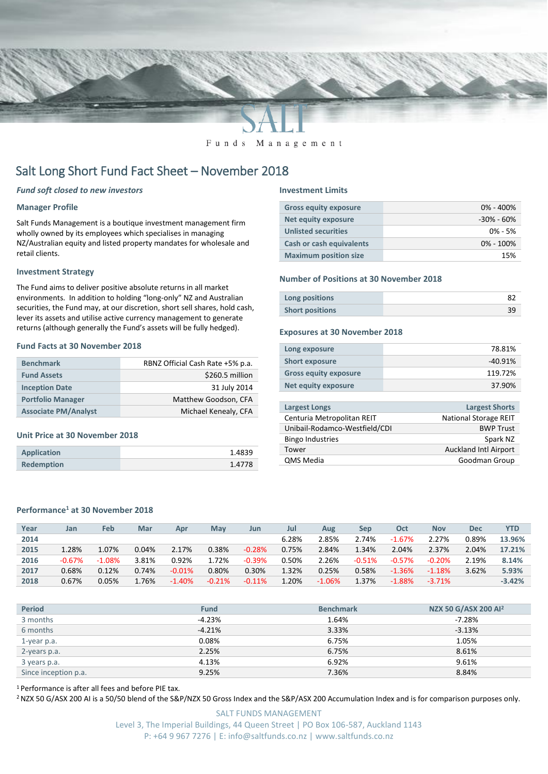

Funds Management

# Salt Long Short Fund Fact Sheet – November 2018

#### *Fund soft closed to new investors*

#### **Manager Profile**

Salt Funds Management is a boutique investment management firm wholly owned by its employees which specialises in managing NZ/Australian equity and listed property mandates for wholesale and retail clients.

#### **Investment Strategy**

The Fund aims to deliver positive absolute returns in all market environments. In addition to holding "long-only" NZ and Australian securities, the Fund may, at our discretion, short sell shares, hold cash, lever its assets and utilise active currency management to generate returns (although generally the Fund's assets will be fully hedged).

#### **Fund Facts at 30 November 2018**

| <b>Benchmark</b>            | RBNZ Official Cash Rate +5% p.a. |
|-----------------------------|----------------------------------|
| <b>Fund Assets</b>          | \$260.5 million                  |
| <b>Inception Date</b>       | 31 July 2014                     |
| <b>Portfolio Manager</b>    | Matthew Goodson, CFA             |
| <b>Associate PM/Analyst</b> | Michael Kenealy, CFA             |

#### **Unit Price at 30 November 2018**

| <b>Application</b> | 1.4839 |
|--------------------|--------|
| <b>Redemption</b>  | 1.4778 |

#### **Investment Limits**

| <b>Gross equity exposure</b>    | $0\% - 400\%$  |
|---------------------------------|----------------|
| <b>Net equity exposure</b>      | $-30\% - 60\%$ |
| <b>Unlisted securities</b>      | $0\% - 5\%$    |
| <b>Cash or cash equivalents</b> | $0\% - 100\%$  |
| <b>Maximum position size</b>    | 15%            |

#### **Number of Positions at 30 November 2018**

| Long positions         |  |
|------------------------|--|
| <b>Short positions</b> |  |

#### **Exposures at 30 November 2018**

| Long exposure                | 78.81%    |
|------------------------------|-----------|
| <b>Short exposure</b>        | $-40.91%$ |
| <b>Gross equity exposure</b> | 119.72%   |
| Net equity exposure          | 37.90%    |
|                              |           |

| <b>Largest Longs</b>          | <b>Largest Shorts</b>        |
|-------------------------------|------------------------------|
| Centuria Metropolitan REIT    | <b>National Storage REIT</b> |
| Unibail-Rodamco-Westfield/CDI | <b>BWP Trust</b>             |
| <b>Bingo Industries</b>       | Spark NZ                     |
| Tower                         | <b>Auckland Intl Airport</b> |
| <b>QMS Media</b>              | Goodman Group                |
|                               |                              |

#### **Performance<sup>1</sup> at 30 November 2018**

| Year | Jan      | <b>Feb</b> | Mar   | Apr      | May      | Jun       | Jul   | Aug       | <b>Sep</b> | Oct       | <b>Nov</b> | <b>Dec</b> | YTD      |
|------|----------|------------|-------|----------|----------|-----------|-------|-----------|------------|-----------|------------|------------|----------|
| 2014 |          |            |       |          |          |           | 6.28% | 2.85%     | 2.74%      | $-1.67%$  | 2.27%      | 0.89%      | 13.96%   |
| 2015 | 1.28%    | 1.07%      | 0.04% | 2.17%    | 0.38%    | $-0.28%$  | 0.75% | 2.84%     | 1.34%      | 2.04%     | 2.37%      | 2.04%      | 17.21%   |
| 2016 | $-0.67%$ | $-1.08%$   | 3.81% | 0.92%    | 1.72%    | $-0.39%$  | 0.50% | 2.26%     | $-0.51%$   | $-0.57%$  | $-0.20%$   | 2.19%      | 8.14%    |
| 2017 | 0.68%    | 0.12%      | 0.74% | $-0.01%$ | 0.80%    | 0.30%     | 1.32% | 0.25%     | 0.58%      | $-1.36\%$ | $-1.18%$   | 3.62%      | 5.93%    |
| 2018 | 0.67%    | 0.05%      | .76%  | $-1.40%$ | $-0.21%$ | $-0.11\%$ | 1.20% | $-1.06\%$ | 1.37%      | $-1.88\%$ | $-3.71%$   |            | $-3.42%$ |

| <b>Period</b>        | <b>Fund</b> | <b>Benchmark</b> | NZX 50 G/ASX 200 Al <sup>2</sup> |
|----------------------|-------------|------------------|----------------------------------|
| 3 months             | $-4.23%$    | 1.64%            | -7.28%                           |
| 6 months             | $-4.21%$    | 3.33%            | $-3.13%$                         |
| 1-year p.a.          | 0.08%       | 6.75%            | 1.05%                            |
| 2-years p.a.         | 2.25%       | 6.75%            | 8.61%                            |
| 3 years p.a.         | 4.13%       | 6.92%            | 9.61%                            |
| Since inception p.a. | 9.25%       | 7.36%            | 8.84%                            |

<sup>1</sup> Performance is after all fees and before PIE tax.

<sup>2</sup> NZX 50 G/ASX 200 AI is a 50/50 blend of the S&P/NZX 50 Gross Index and the S&P/ASX 200 Accumulation Index and is for comparison purposes only.

SALT FUNDS MANAGEMENT Level 3, The Imperial Buildings, 44 Queen Street | PO Box 106-587, Auckland 1143 P: +64 9 967 7276 | E: info@saltfunds.co.nz | www.saltfunds.co.nz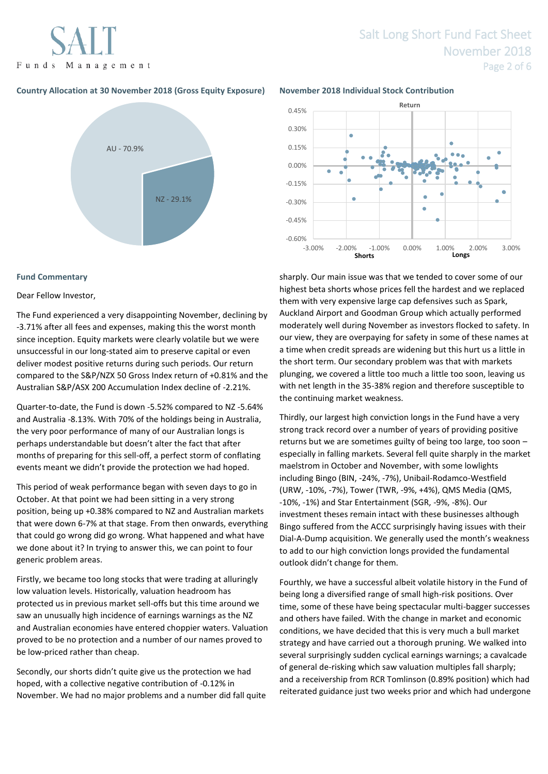

### **Country Allocation at 30 November 2018 (Gross Equity Exposure) November 2018 Individual Stock Contribution**



#### **Fund Commentary**

#### Dear Fellow Investor,

The Fund experienced a very disappointing November, declining by -3.71% after all fees and expenses, making this the worst month since inception. Equity markets were clearly volatile but we were unsuccessful in our long-stated aim to preserve capital or even deliver modest positive returns during such periods. Our return compared to the S&P/NZX 50 Gross Index return of +0.81% and the Australian S&P/ASX 200 Accumulation Index decline of -2.21%.

Quarter-to-date, the Fund is down -5.52% compared to NZ -5.64% and Australia -8.13%. With 70% of the holdings being in Australia, the very poor performance of many of our Australian longs is perhaps understandable but doesn't alter the fact that after months of preparing for this sell-off, a perfect storm of conflating events meant we didn't provide the protection we had hoped.

This period of weak performance began with seven days to go in October. At that point we had been sitting in a very strong position, being up +0.38% compared to NZ and Australian markets that were down 6-7% at that stage. From then onwards, everything that could go wrong did go wrong. What happened and what have we done about it? In trying to answer this, we can point to four generic problem areas.

Firstly, we became too long stocks that were trading at alluringly low valuation levels. Historically, valuation headroom has protected us in previous market sell-offs but this time around we saw an unusually high incidence of earnings warnings as the NZ and Australian economies have entered choppier waters. Valuation proved to be no protection and a number of our names proved to be low-priced rather than cheap.

Secondly, our shorts didn't quite give us the protection we had hoped, with a collective negative contribution of -0.12% in November. We had no major problems and a number did fall quite



sharply. Our main issue was that we tended to cover some of our highest beta shorts whose prices fell the hardest and we replaced them with very expensive large cap defensives such as Spark, Auckland Airport and Goodman Group which actually performed moderately well during November as investors flocked to safety. In our view, they are overpaying for safety in some of these names at a time when credit spreads are widening but this hurt us a little in the short term. Our secondary problem was that with markets plunging, we covered a little too much a little too soon, leaving us with net length in the 35-38% region and therefore susceptible to the continuing market weakness.

Thirdly, our largest high conviction longs in the Fund have a very strong track record over a number of years of providing positive returns but we are sometimes guilty of being too large, too soon – especially in falling markets. Several fell quite sharply in the market maelstrom in October and November, with some lowlights including Bingo (BIN, -24%, -7%), Unibail-Rodamco-Westfield (URW, -10%, -7%), Tower (TWR, -9%, +4%), QMS Media (QMS, -10%, -1%) and Star Entertainment (SGR, -9%, -8%). Our investment theses remain intact with these businesses although Bingo suffered from the ACCC surprisingly having issues with their Dial-A-Dump acquisition. We generally used the month's weakness to add to our high conviction longs provided the fundamental outlook didn't change for them.

Fourthly, we have a successful albeit volatile history in the Fund of being long a diversified range of small high-risk positions. Over time, some of these have being spectacular multi-bagger successes and others have failed. With the change in market and economic conditions, we have decided that this is very much a bull market strategy and have carried out a thorough pruning. We walked into several surprisingly sudden cyclical earnings warnings; a cavalcade of general de-risking which saw valuation multiples fall sharply; and a receivership from RCR Tomlinson (0.89% position) which had reiterated guidance just two weeks prior and which had undergone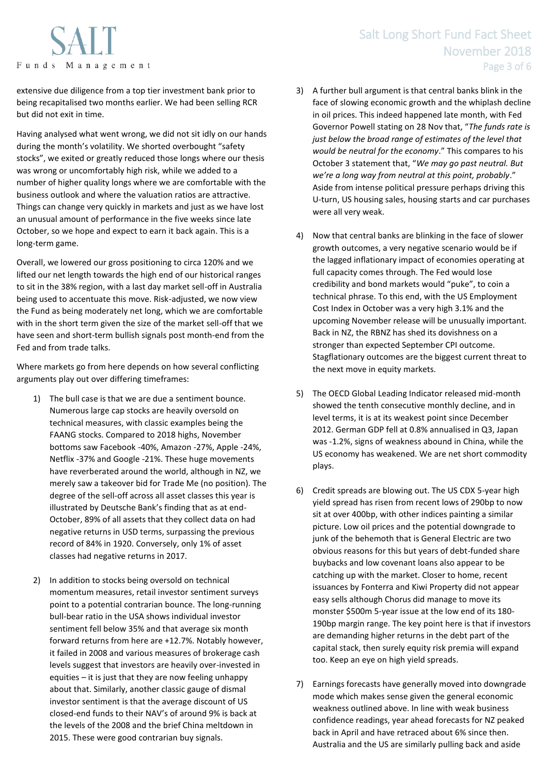

extensive due diligence from a top tier investment bank prior to being recapitalised two months earlier. We had been selling RCR but did not exit in time.

Having analysed what went wrong, we did not sit idly on our hands during the month's volatility. We shorted overbought "safety stocks", we exited or greatly reduced those longs where our thesis was wrong or uncomfortably high risk, while we added to a number of higher quality longs where we are comfortable with the business outlook and where the valuation ratios are attractive. Things can change very quickly in markets and just as we have lost an unusual amount of performance in the five weeks since late October, so we hope and expect to earn it back again. This is a long-term game.

Overall, we lowered our gross positioning to circa 120% and we lifted our net length towards the high end of our historical ranges to sit in the 38% region, with a last day market sell-off in Australia being used to accentuate this move. Risk-adjusted, we now view the Fund as being moderately net long, which we are comfortable with in the short term given the size of the market sell-off that we have seen and short-term bullish signals post month-end from the Fed and from trade talks.

Where markets go from here depends on how several conflicting arguments play out over differing timeframes:

- 1) The bull case is that we are due a sentiment bounce. Numerous large cap stocks are heavily oversold on technical measures, with classic examples being the FAANG stocks. Compared to 2018 highs, November bottoms saw Facebook -40%, Amazon -27%, Apple -24%, Netflix -37% and Google -21%. These huge movements have reverberated around the world, although in NZ, we merely saw a takeover bid for Trade Me (no position). The degree of the sell-off across all asset classes this year is illustrated by Deutsche Bank's finding that as at end-October, 89% of all assets that they collect data on had negative returns in USD terms, surpassing the previous record of 84% in 1920. Conversely, only 1% of asset classes had negative returns in 2017.
- 2) In addition to stocks being oversold on technical momentum measures, retail investor sentiment surveys point to a potential contrarian bounce. The long-running bull-bear ratio in the USA shows individual investor sentiment fell below 35% and that average six month forward returns from here are +12.7%. Notably however, it failed in 2008 and various measures of brokerage cash levels suggest that investors are heavily over-invested in equities – it is just that they are now feeling unhappy about that. Similarly, another classic gauge of dismal investor sentiment is that the average discount of US closed-end funds to their NAV's of around 9% is back at the levels of the 2008 and the brief China meltdown in 2015. These were good contrarian buy signals.

# Salt Long Short Fund Fact Sheet November 2018 Page 3 of 6

- 3) A further bull argument is that central banks blink in the face of slowing economic growth and the whiplash decline in oil prices. This indeed happened late month, with Fed Governor Powell stating on 28 Nov that, "*The funds rate is just below the broad range of estimates of the level that would be neutral for the economy*." This compares to his October 3 statement that, "*We may go past neutral. But we're a long way from neutral at this point, probably*." Aside from intense political pressure perhaps driving this U-turn, US housing sales, housing starts and car purchases were all very weak.
- 4) Now that central banks are blinking in the face of slower growth outcomes, a very negative scenario would be if the lagged inflationary impact of economies operating at full capacity comes through. The Fed would lose credibility and bond markets would "puke", to coin a technical phrase. To this end, with the US Employment Cost Index in October was a very high 3.1% and the upcoming November release will be unusually important. Back in NZ, the RBNZ has shed its dovishness on a stronger than expected September CPI outcome. Stagflationary outcomes are the biggest current threat to the next move in equity markets.
- 5) The OECD Global Leading Indicator released mid-month showed the tenth consecutive monthly decline, and in level terms, it is at its weakest point since December 2012. German GDP fell at 0.8% annualised in Q3, Japan was -1.2%, signs of weakness abound in China, while the US economy has weakened. We are net short commodity plays.
- 6) Credit spreads are blowing out. The US CDX 5-year high yield spread has risen from recent lows of 290bp to now sit at over 400bp, with other indices painting a similar picture. Low oil prices and the potential downgrade to junk of the behemoth that is General Electric are two obvious reasons for this but years of debt-funded share buybacks and low covenant loans also appear to be catching up with the market. Closer to home, recent issuances by Fonterra and Kiwi Property did not appear easy sells although Chorus did manage to move its monster \$500m 5-year issue at the low end of its 180- 190bp margin range. The key point here is that if investors are demanding higher returns in the debt part of the capital stack, then surely equity risk premia will expand too. Keep an eye on high yield spreads.
- 7) Earnings forecasts have generally moved into downgrade mode which makes sense given the general economic weakness outlined above. In line with weak business confidence readings, year ahead forecasts for NZ peaked back in April and have retraced about 6% since then. Australia and the US are similarly pulling back and aside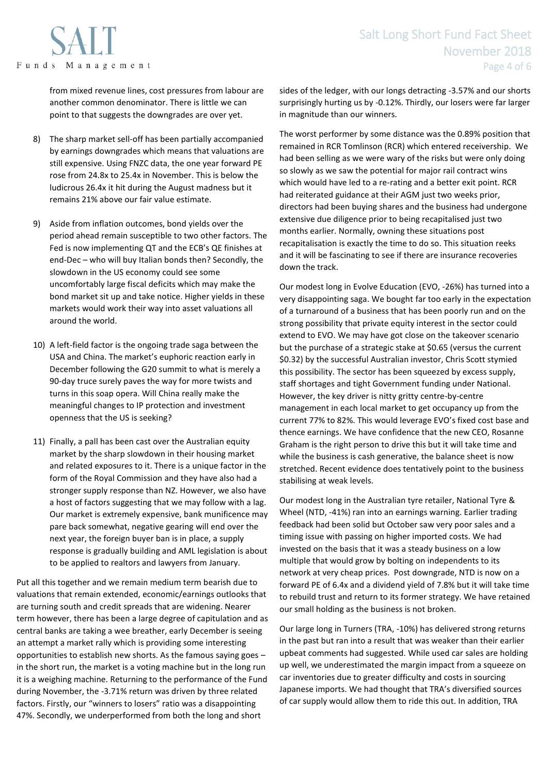

from mixed revenue lines, cost pressures from labour are another common denominator. There is little we can point to that suggests the downgrades are over yet.

- 8) The sharp market sell-off has been partially accompanied by earnings downgrades which means that valuations are still expensive. Using FNZC data, the one year forward PE rose from 24.8x to 25.4x in November. This is below the ludicrous 26.4x it hit during the August madness but it remains 21% above our fair value estimate.
- 9) Aside from inflation outcomes, bond yields over the period ahead remain susceptible to two other factors. The Fed is now implementing QT and the ECB's QE finishes at end-Dec – who will buy Italian bonds then? Secondly, the slowdown in the US economy could see some uncomfortably large fiscal deficits which may make the bond market sit up and take notice. Higher yields in these markets would work their way into asset valuations all around the world.
- 10) A left-field factor is the ongoing trade saga between the USA and China. The market's euphoric reaction early in December following the G20 summit to what is merely a 90-day truce surely paves the way for more twists and turns in this soap opera. Will China really make the meaningful changes to IP protection and investment openness that the US is seeking?
- 11) Finally, a pall has been cast over the Australian equity market by the sharp slowdown in their housing market and related exposures to it. There is a unique factor in the form of the Royal Commission and they have also had a stronger supply response than NZ. However, we also have a host of factors suggesting that we may follow with a lag. Our market is extremely expensive, bank munificence may pare back somewhat, negative gearing will end over the next year, the foreign buyer ban is in place, a supply response is gradually building and AML legislation is about to be applied to realtors and lawyers from January.

Put all this together and we remain medium term bearish due to valuations that remain extended, economic/earnings outlooks that are turning south and credit spreads that are widening. Nearer term however, there has been a large degree of capitulation and as central banks are taking a wee breather, early December is seeing an attempt a market rally which is providing some interesting opportunities to establish new shorts. As the famous saying goes – in the short run, the market is a voting machine but in the long run it is a weighing machine. Returning to the performance of the Fund during November, the -3.71% return was driven by three related factors. Firstly, our "winners to losers" ratio was a disappointing 47%. Secondly, we underperformed from both the long and short

sides of the ledger, with our longs detracting -3.57% and our shorts surprisingly hurting us by -0.12%. Thirdly, our losers were far larger in magnitude than our winners.

The worst performer by some distance was the 0.89% position that remained in RCR Tomlinson (RCR) which entered receivership. We had been selling as we were wary of the risks but were only doing so slowly as we saw the potential for major rail contract wins which would have led to a re-rating and a better exit point. RCR had reiterated guidance at their AGM just two weeks prior, directors had been buying shares and the business had undergone extensive due diligence prior to being recapitalised just two months earlier. Normally, owning these situations post recapitalisation is exactly the time to do so. This situation reeks and it will be fascinating to see if there are insurance recoveries down the track.

Our modest long in Evolve Education (EVO, -26%) has turned into a very disappointing saga. We bought far too early in the expectation of a turnaround of a business that has been poorly run and on the strong possibility that private equity interest in the sector could extend to EVO. We may have got close on the takeover scenario but the purchase of a strategic stake at \$0.65 (versus the current \$0.32) by the successful Australian investor, Chris Scott stymied this possibility. The sector has been squeezed by excess supply, staff shortages and tight Government funding under National. However, the key driver is nitty gritty centre-by-centre management in each local market to get occupancy up from the current 77% to 82%. This would leverage EVO's fixed cost base and thence earnings. We have confidence that the new CEO, Rosanne Graham is the right person to drive this but it will take time and while the business is cash generative, the balance sheet is now stretched. Recent evidence does tentatively point to the business stabilising at weak levels.

Our modest long in the Australian tyre retailer, National Tyre & Wheel (NTD, -41%) ran into an earnings warning. Earlier trading feedback had been solid but October saw very poor sales and a timing issue with passing on higher imported costs. We had invested on the basis that it was a steady business on a low multiple that would grow by bolting on independents to its network at very cheap prices. Post downgrade, NTD is now on a forward PE of 6.4x and a dividend yield of 7.8% but it will take time to rebuild trust and return to its former strategy. We have retained our small holding as the business is not broken.

Our large long in Turners (TRA, -10%) has delivered strong returns in the past but ran into a result that was weaker than their earlier upbeat comments had suggested. While used car sales are holding up well, we underestimated the margin impact from a squeeze on car inventories due to greater difficulty and costs in sourcing Japanese imports. We had thought that TRA's diversified sources of car supply would allow them to ride this out. In addition, TRA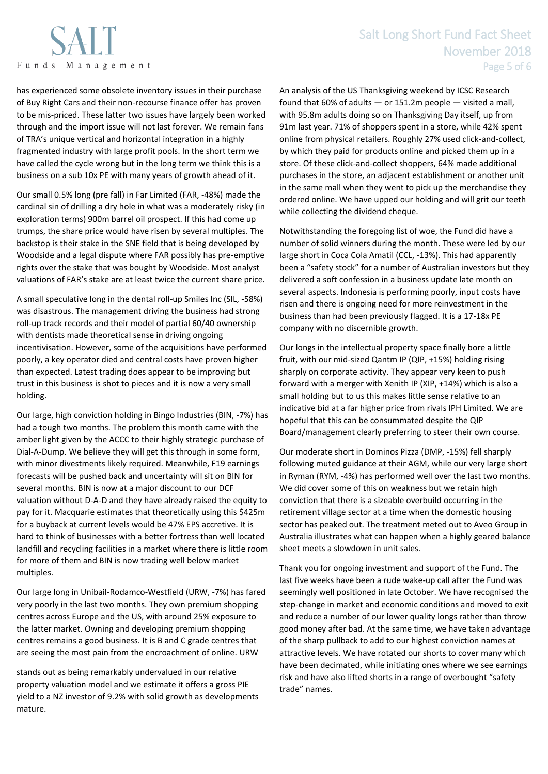

### Salt Long Short Fund Fact Sheet November 2018 Page 5 of 6

has experienced some obsolete inventory issues in their purchase of Buy Right Cars and their non-recourse finance offer has proven to be mis-priced. These latter two issues have largely been worked through and the import issue will not last forever. We remain fans of TRA's unique vertical and horizontal integration in a highly fragmented industry with large profit pools. In the short term we have called the cycle wrong but in the long term we think this is a business on a sub 10x PE with many years of growth ahead of it.

Our small 0.5% long (pre fall) in Far Limited (FAR, -48%) made the cardinal sin of drilling a dry hole in what was a moderately risky (in exploration terms) 900m barrel oil prospect. If this had come up trumps, the share price would have risen by several multiples. The backstop is their stake in the SNE field that is being developed by Woodside and a legal dispute where FAR possibly has pre-emptive rights over the stake that was bought by Woodside. Most analyst valuations of FAR's stake are at least twice the current share price.

A small speculative long in the dental roll-up Smiles Inc (SIL, -58%) was disastrous. The management driving the business had strong roll-up track records and their model of partial 60/40 ownership with dentists made theoretical sense in driving ongoing incentivisation. However, some of the acquisitions have performed poorly, a key operator died and central costs have proven higher than expected. Latest trading does appear to be improving but trust in this business is shot to pieces and it is now a very small holding.

Our large, high conviction holding in Bingo Industries (BIN, -7%) has had a tough two months. The problem this month came with the amber light given by the ACCC to their highly strategic purchase of Dial-A-Dump. We believe they will get this through in some form, with minor divestments likely required. Meanwhile, F19 earnings forecasts will be pushed back and uncertainty will sit on BIN for several months. BIN is now at a major discount to our DCF valuation without D-A-D and they have already raised the equity to pay for it. Macquarie estimates that theoretically using this \$425m for a buyback at current levels would be 47% EPS accretive. It is hard to think of businesses with a better fortress than well located landfill and recycling facilities in a market where there is little room for more of them and BIN is now trading well below market multiples.

Our large long in Unibail-Rodamco-Westfield (URW, -7%) has fared very poorly in the last two months. They own premium shopping centres across Europe and the US, with around 25% exposure to the latter market. Owning and developing premium shopping centres remains a good business. It is B and C grade centres that are seeing the most pain from the encroachment of online. URW

stands out as being remarkably undervalued in our relative property valuation model and we estimate it offers a gross PIE yield to a NZ investor of 9.2% with solid growth as developments mature.

An analysis of the US Thanksgiving weekend by ICSC Research found that 60% of adults  $-$  or 151.2m people  $-$  visited a mall, with 95.8m adults doing so on Thanksgiving Day itself, up from 91m last year. 71% of shoppers spent in a store, while 42% spent online from physical retailers. Roughly 27% used click-and-collect, by which they paid for products online and picked them up in a store. Of these click-and-collect shoppers, 64% made additional purchases in the store, an adjacent establishment or another unit in the same mall when they went to pick up the merchandise they ordered online. We have upped our holding and will grit our teeth while collecting the dividend cheque.

Notwithstanding the foregoing list of woe, the Fund did have a number of solid winners during the month. These were led by our large short in Coca Cola Amatil (CCL, -13%). This had apparently been a "safety stock" for a number of Australian investors but they delivered a soft confession in a business update late month on several aspects. Indonesia is performing poorly, input costs have risen and there is ongoing need for more reinvestment in the business than had been previously flagged. It is a 17-18x PE company with no discernible growth.

Our longs in the intellectual property space finally bore a little fruit, with our mid-sized Qantm IP (QIP, +15%) holding rising sharply on corporate activity. They appear very keen to push forward with a merger with Xenith IP (XIP, +14%) which is also a small holding but to us this makes little sense relative to an indicative bid at a far higher price from rivals IPH Limited. We are hopeful that this can be consummated despite the QIP Board/management clearly preferring to steer their own course.

Our moderate short in Dominos Pizza (DMP, -15%) fell sharply following muted guidance at their AGM, while our very large short in Ryman (RYM, -4%) has performed well over the last two months. We did cover some of this on weakness but we retain high conviction that there is a sizeable overbuild occurring in the retirement village sector at a time when the domestic housing sector has peaked out. The treatment meted out to Aveo Group in Australia illustrates what can happen when a highly geared balance sheet meets a slowdown in unit sales.

Thank you for ongoing investment and support of the Fund. The last five weeks have been a rude wake-up call after the Fund was seemingly well positioned in late October. We have recognised the step-change in market and economic conditions and moved to exit and reduce a number of our lower quality longs rather than throw good money after bad. At the same time, we have taken advantage of the sharp pullback to add to our highest conviction names at attractive levels. We have rotated our shorts to cover many which have been decimated, while initiating ones where we see earnings risk and have also lifted shorts in a range of overbought "safety trade" names.